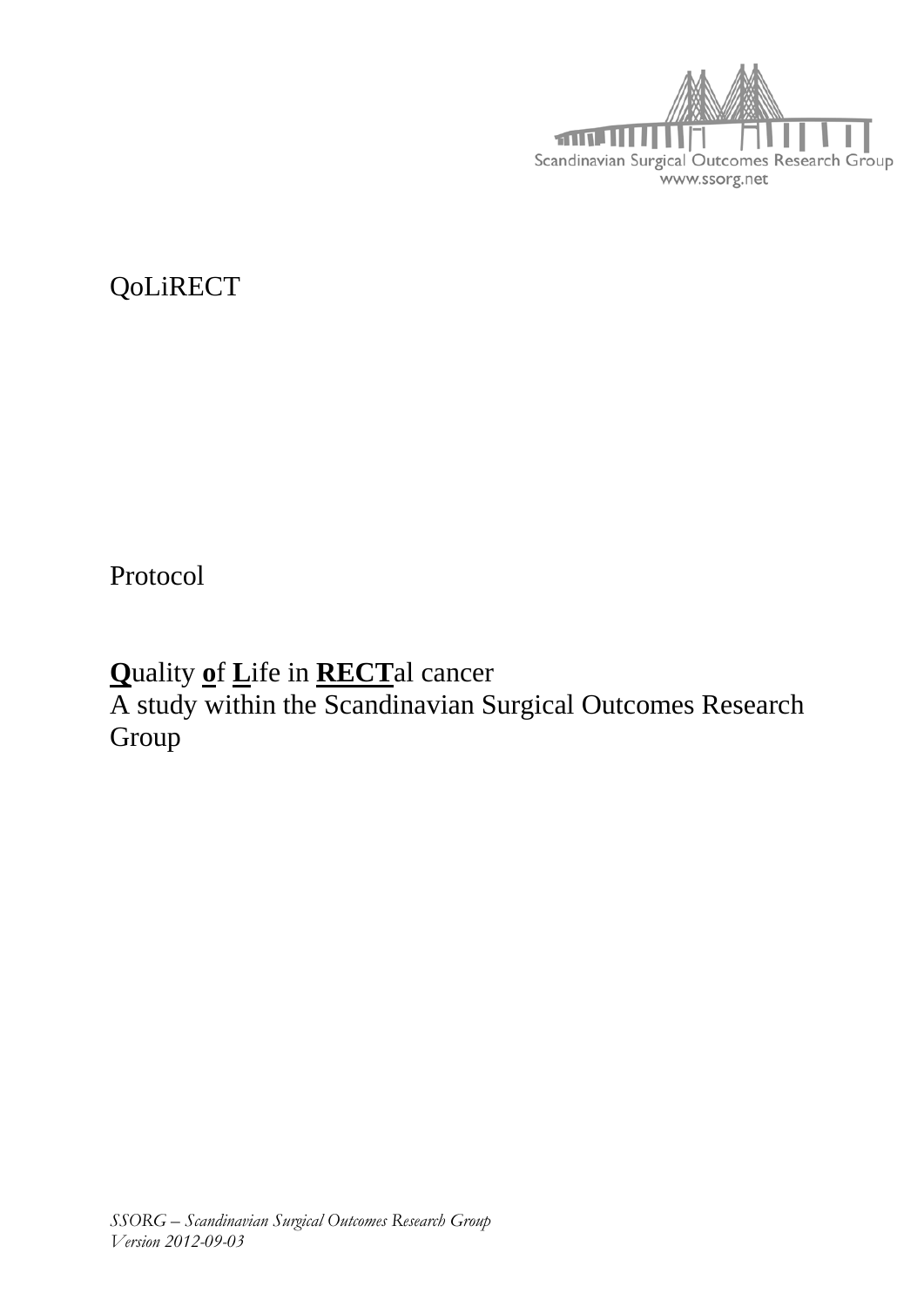

QoLiRECT

Protocol

Quality of Life in RECTal cancer

A study within the Scandinavian Surgical Outcomes Research Group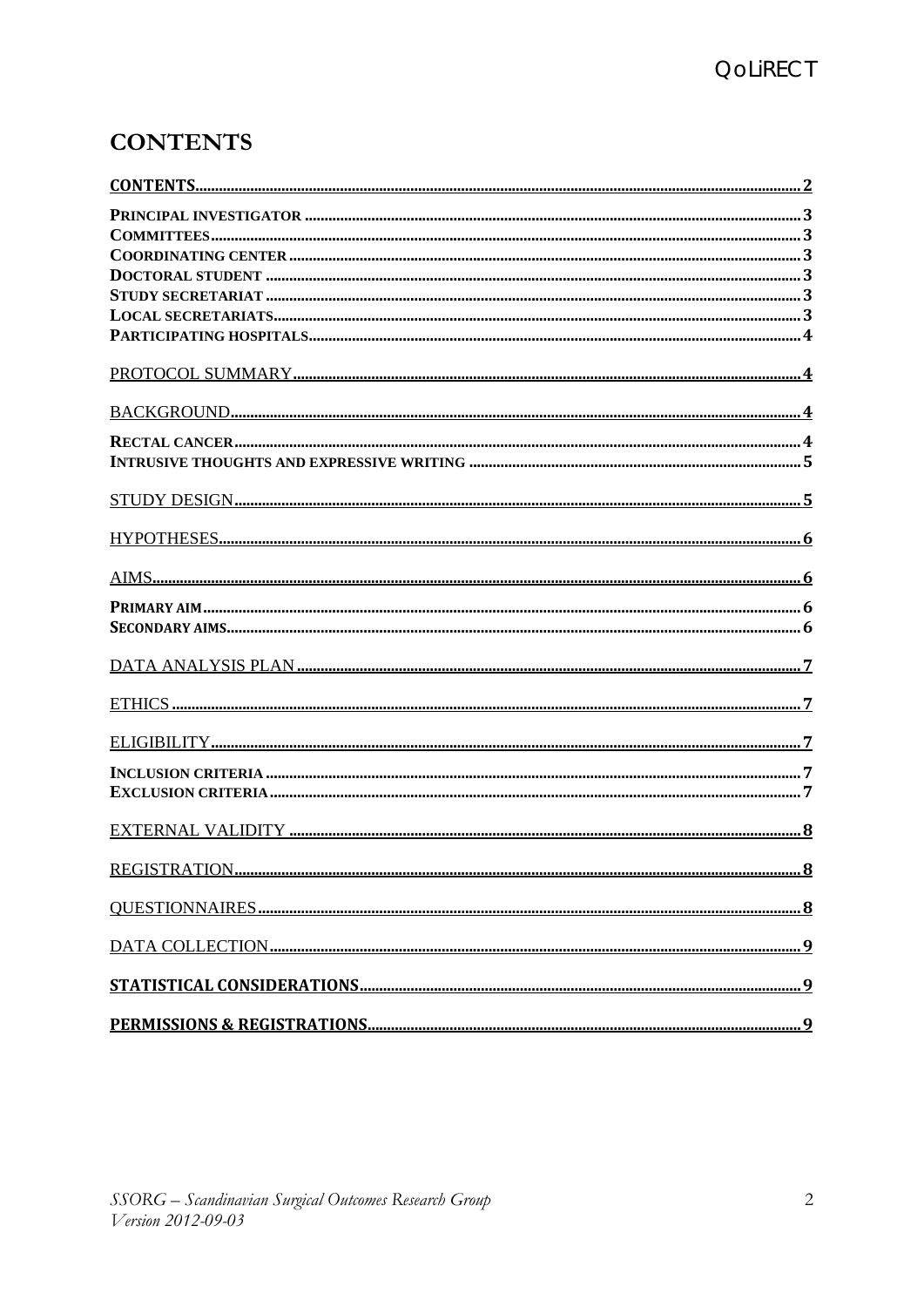# **CONTENTS**

| REGISTRATION |  |
|--------------|--|
|              |  |
|              |  |
|              |  |
|              |  |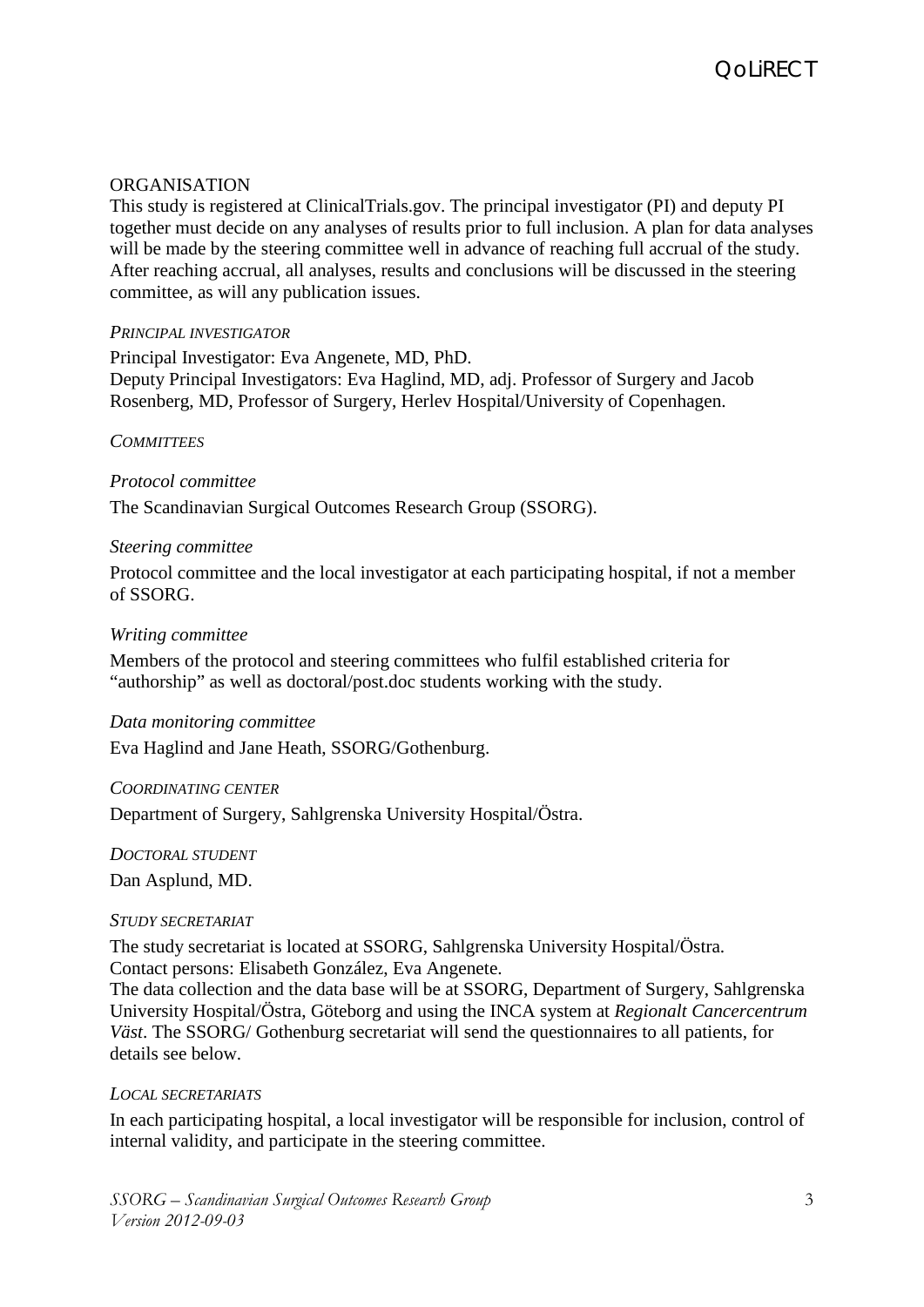## **ORGANISATION**

This study is registered at ClinicalTrials.gov. The principal investigator (PI) and deputy PI together must decide on any analyses of results prior to full inclusion. A plan for data analyses will be made by the steering committee well in advance of reaching full accrual of the study. After reaching accrual, all analyses, results and conclusions will be discussed in the steering committee, as will any publication issues.

### *PRINCIPAL INVESTIGATOR*

Principal Investigator: Eva Angenete, MD, PhD. Deputy Principal Investigators: Eva Haglind, MD, adj. Professor of Surgery and Jacob Rosenberg, MD, Professor of Surgery, Herlev Hospital/University of Copenhagen.

### *COMMITTEES*

## *Protocol committee*

The Scandinavian Surgical Outcomes Research Group (SSORG).

### *Steering committee*

Protocol committee and the local investigator at each participating hospital, if not a member of SSORG.

### *Writing committee*

Members of the protocol and steering committees who fulfil established criteria for "authorship" as well as doctoral/post.doc students working with the study.

### *Data monitoring committee*

Eva Haglind and Jane Heath, SSORG/Gothenburg.

#### *COORDINATING CENTER*

Department of Surgery, Sahlgrenska University Hospital/Östra.

*DOCTORAL STUDENT* 

Dan Asplund, MD.

#### *STUDY SECRETARIAT*

The study secretariat is located at SSORG, Sahlgrenska University Hospital/Östra. Contact persons: Elisabeth González, Eva Angenete.

The data collection and the data base will be at SSORG, Department of Surgery, Sahlgrenska University Hospital/Östra, Göteborg and using the INCA system at *Regionalt Cancercentrum Väst*. The SSORG/ Gothenburg secretariat will send the questionnaires to all patients, for details see below.

### *LOCAL SECRETARIATS*

In each participating hospital, a local investigator will be responsible for inclusion, control of internal validity, and participate in the steering committee.

*SSORG – Scandinavian Surgical Outcomes Research Group Version 2012-09-03*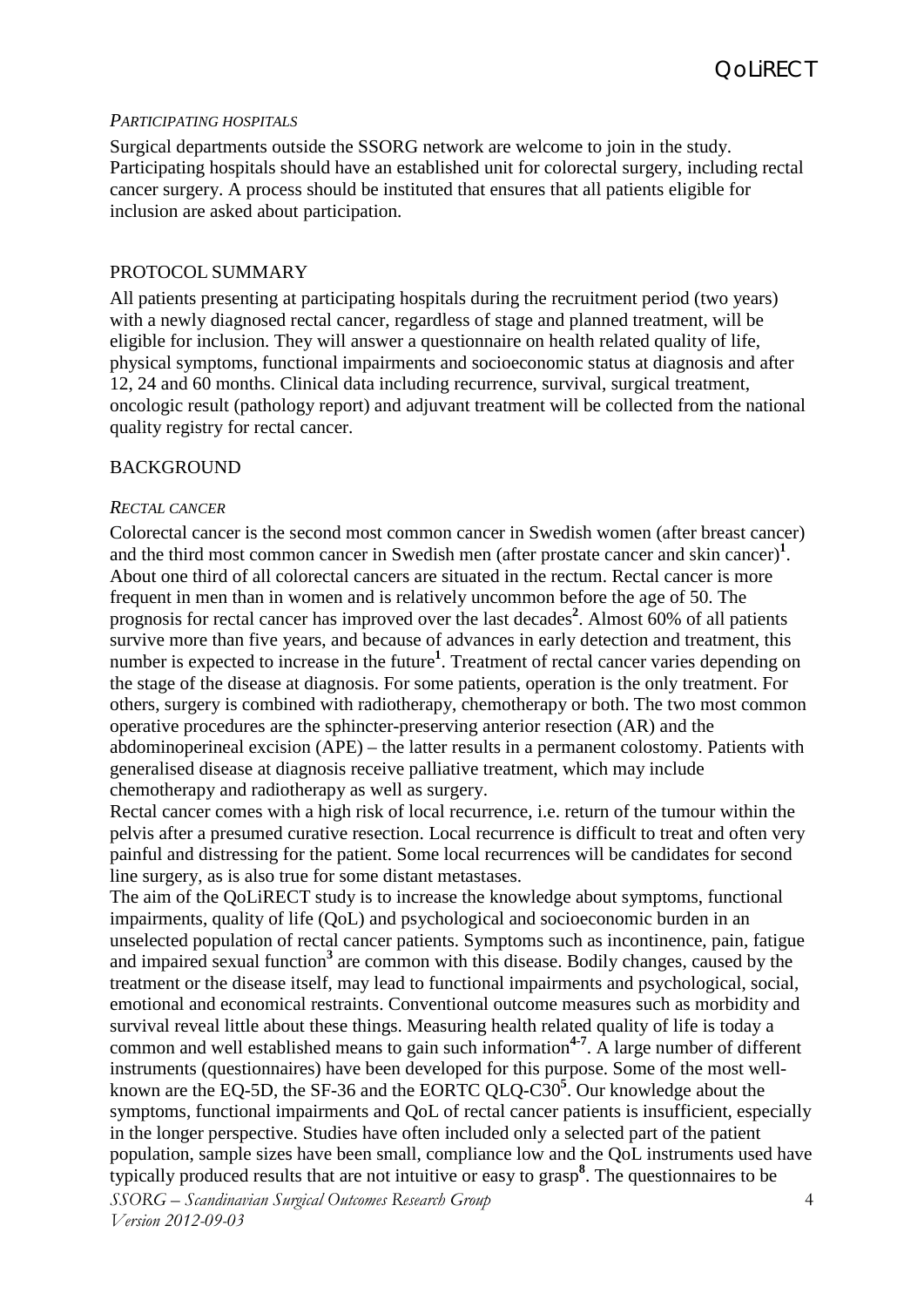### *PARTICIPATING HOSPITALS*

Surgical departments outside the SSORG network are welcome to join in the study. Participating hospitals should have an established unit for colorectal surgery, including rectal cancer surgery. A process should be instituted that ensures that all patients eligible for inclusion are asked about participation.

#### PROTOCOL SUMMARY

All patients presenting at participating hospitals during the recruitment period (two years) with a newly diagnosed rectal cancer, regardless of stage and planned treatment, will be eligible for inclusion. They will answer a questionnaire on health related quality of life, physical symptoms, functional impairments and socioeconomic status at diagnosis and after 12, 24 and 60 months. Clinical data including recurrence, survival, surgical treatment, oncologic result (pathology report) and adjuvant treatment will be collected from the national quality registry for rectal cancer.

#### BACKGROUND

#### *RECTAL CANCER*

Colorectal cancer is the second most common cancer in Swedish women (after breast cancer) and the third most common cancer in Swedish men (after prostate cancer and skin cancer[\)](#page-8-0)**<sup>1</sup>** . About one third of all colorectal cancers are situated in the rectum. Rectal cancer is more frequent in men than in women and is relatively uncommon before the age of 50. The prognosis for rectal cancer has improved over the last decades**[2](#page-8-1)** . Almost 60% of all patients survive more than five years, and because of advances in early detection and treatment, this number is expected to increase in the future<sup>1</sup>[.](#page-8-0) Treatment of rectal cancer varies depending on the stage of the disease at diagnosis. For some patients, operation is the only treatment. For others, surgery is combined with radiotherapy, chemotherapy or both. The two most common operative procedures are the sphincter-preserving anterior resection (AR) and the abdominoperineal excision (APE) – the latter results in a permanent colostomy. Patients with generalised disease at diagnosis receive palliative treatment, which may include chemotherapy and radiotherapy as well as surgery.

Rectal cancer comes with a high risk of local recurrence, i.e. return of the tumour within the pelvis after a presumed curative resection. Local recurrence is difficult to treat and often very painful and distressing for the patient. Some local recurrences will be candidates for second line surgery, as is also true for some distant metastases.

*SSORG – Scandinavian Surgical Outcomes Research Group Version 2012-09-03* 4 The aim of the QoLiRECT study is to increase the knowledge about symptoms, functional impairments, quality of life (QoL) and psychological and socioeconomic burden in an unselected population of rectal cancer patients. Symptoms such as incontinence, pain, fatigue and impaired sexual functio[n](#page-8-2)**<sup>3</sup>** are common with this disease. Bodily changes, caused by the treatment or the disease itself, may lead to functional impairments and psychological, social, emotional and economical restraints. Conventional outcome measures such as morbidity and survival reveal little about these things. Measuring health related quality of life is today a common and well established means to gain such information**[4-7](#page-8-3)** . A large number of different instruments (questionnaires) have been developed for this purpose. Some of the most wellknown are the EQ-5D, the SF-36 and the EORTC QLQ-C30**<sup>5</sup>** [.](#page-9-0) Our knowledge about the symptoms, functional impairments and QoL of rectal cancer patients is insufficient, especially in the longer perspective. Studies have often included only a selected part of the patient population, sample sizes have been small, compliance low and the QoL instruments used have typically produced results that are not intuitive or easy to grasp**<sup>8</sup>** [.](#page-9-1) The questionnaires to be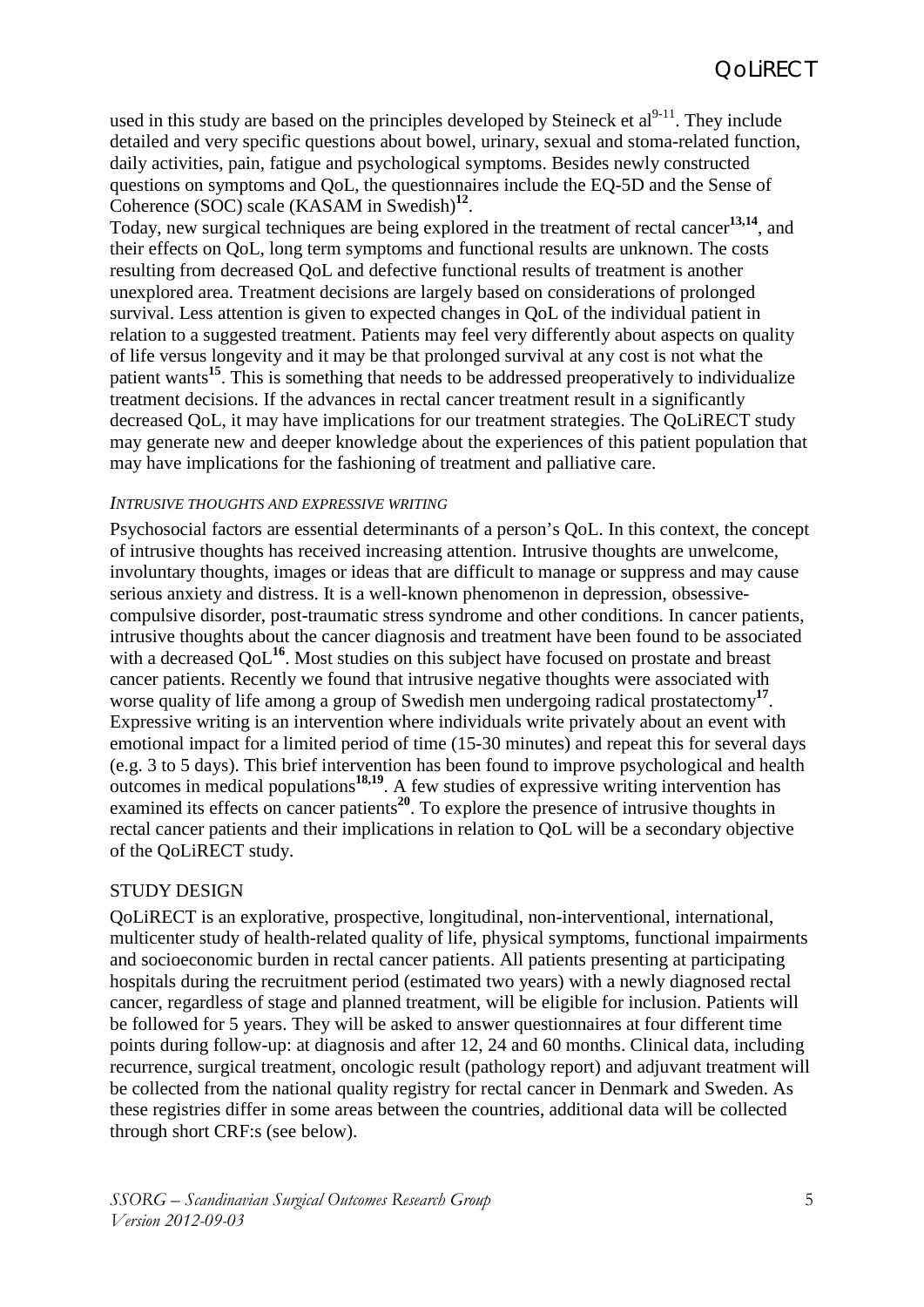used in this study are based on the principles developed by Steineck et  $al^{9-11}$ . They include detailed and very specific questions about bowel, urinary, sexual and stoma-related function, daily activities, pain, fatigue and psychological symptoms. Besides newly constructed questions on symptoms and QoL, the questionnaires include the EQ-5D and the Sense of Coherence (SOC) scale (KASAM in Swedish)**[12](#page-9-3)**.

Today, new surgical techniques are being explored in the treatment of rectal cancer**[13,](#page-9-4)[14](#page-9-5)**, and their effects on QoL, long term symptoms and functional results are unknown. The costs resulting from decreased QoL and defective functional results of treatment is another unexplored area. Treatment decisions are largely based on considerations of prolonged survival. Less attention is given to expected changes in QoL of the individual patient in relation to a suggested treatment. Patients may feel very differently about aspects on quality of life versus longevity and it may be that prolonged survival at any cost is not what the patient wants**[15](#page-9-6)**. This is something that needs to be addressed preoperatively to individualize treatment decisions. If the advances in rectal cancer treatment result in a significantly decreased QoL, it may have implications for our treatment strategies. The QoLiRECT study may generate new and deeper knowledge about the experiences of this patient population that may have implications for the fashioning of treatment and palliative care.

### *INTRUSIVE THOUGHTS AND EXPRESSIVE WRITING*

Psychosocial factors are essential determinants of a person's QoL. In this context, the concept of intrusive thoughts has received increasing attention. Intrusive thoughts are unwelcome, involuntary thoughts, images or ideas that are difficult to manage or suppress and may cause serious anxiety and distress. It is a well-known phenomenon in depression, obsessivecompulsive disorder, post-traumatic stress syndrome and other conditions. In cancer patients, intrusive thoughts about the cancer diagnosis and treatment have been found to be associated with a decreased OoL<sup>[16](#page-9-7)</sup>. Most studies on this subject have focused on prostate and breast cancer patients. Recently we found that intrusive negative thoughts were associated with worse quality of life among a group of Swedish men undergoing radical prostatectomy**[17](#page-9-8)**. Expressive writing is an intervention where individuals write privately about an event with emotional impact for a limited period of time (15-30 minutes) and repeat this for several days (e.g. 3 to 5 days). This brief intervention has been found to improve psychological and health outcomes in medical populations**[18](#page-9-9)[,19](#page-9-10)**. A few studies of expressive writing intervention has examined its effects on cancer patients**[20](#page-9-11)**. To explore the presence of intrusive thoughts in rectal cancer patients and their implications in relation to QoL will be a secondary objective of the QoLiRECT study.

### STUDY DESIGN

QoLiRECT is an explorative, prospective, longitudinal, non-interventional, international, multicenter study of health-related quality of life, physical symptoms, functional impairments and socioeconomic burden in rectal cancer patients. All patients presenting at participating hospitals during the recruitment period (estimated two years) with a newly diagnosed rectal cancer, regardless of stage and planned treatment, will be eligible for inclusion. Patients will be followed for 5 years. They will be asked to answer questionnaires at four different time points during follow-up: at diagnosis and after 12, 24 and 60 months. Clinical data, including recurrence, surgical treatment, oncologic result (pathology report) and adjuvant treatment will be collected from the national quality registry for rectal cancer in Denmark and Sweden. As these registries differ in some areas between the countries, additional data will be collected through short CRF:s (see below).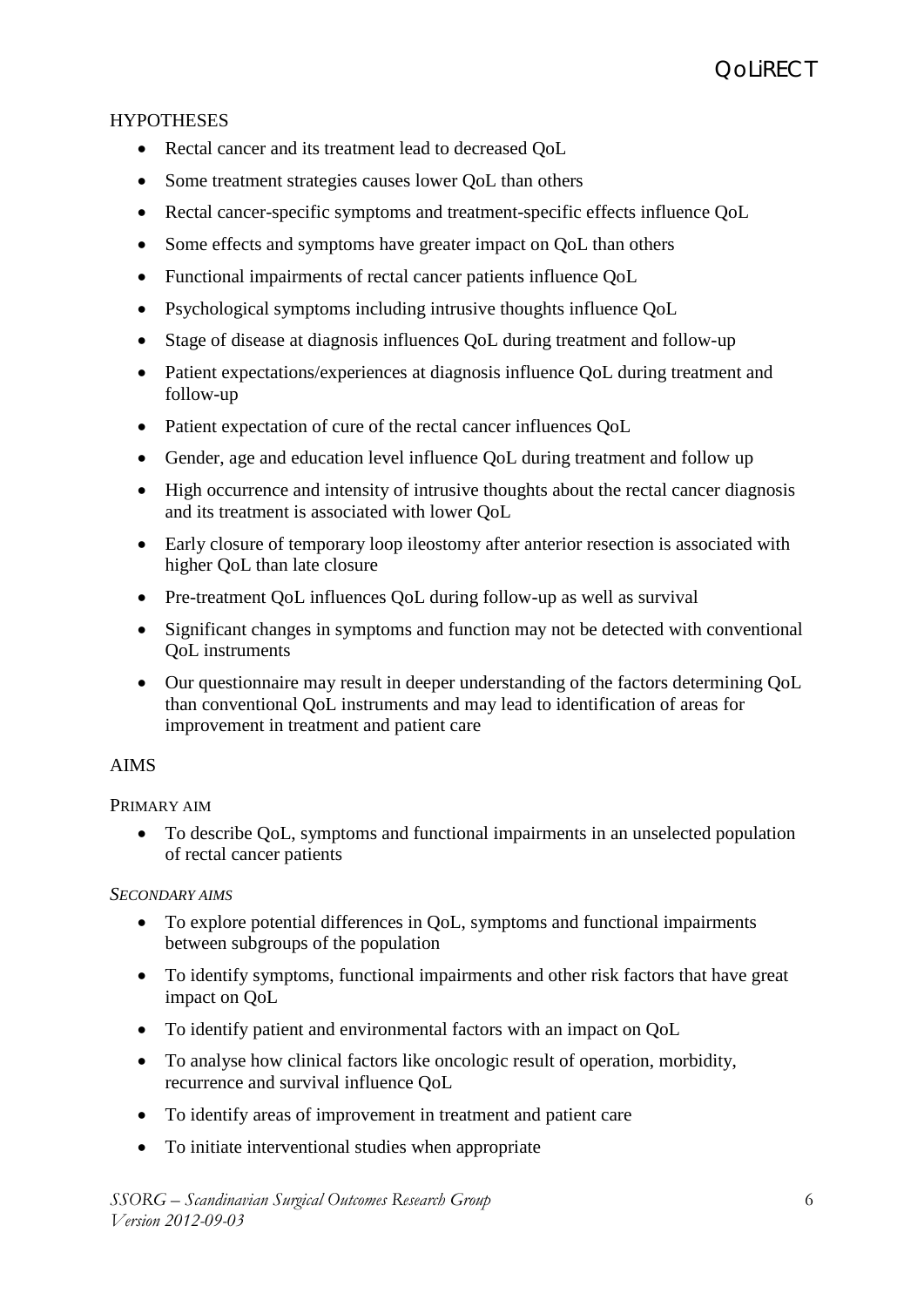# **HYPOTHESES**

- Rectal cancer and its treatment lead to decreased QoL
- Some treatment strategies causes lower OoL than others
- Rectal cancer-specific symptoms and treatment-specific effects influence QoL
- Some effects and symptoms have greater impact on QoL than others
- Functional impairments of rectal cancer patients influence QoL
- Psychological symptoms including intrusive thoughts influence QoL
- Stage of disease at diagnosis influences QoL during treatment and follow-up
- Patient expectations/experiences at diagnosis influence QoL during treatment and follow-up
- Patient expectation of cure of the rectal cancer influences QoL
- Gender, age and education level influence QoL during treatment and follow up
- High occurrence and intensity of intrusive thoughts about the rectal cancer diagnosis and its treatment is associated with lower QoL
- Early closure of temporary loop ileostomy after anterior resection is associated with higher QoL than late closure
- Pre-treatment QoL influences QoL during follow-up as well as survival
- Significant changes in symptoms and function may not be detected with conventional QoL instruments
- Our questionnaire may result in deeper understanding of the factors determining QoL than conventional QoL instruments and may lead to identification of areas for improvement in treatment and patient care

## AIMS

## PRIMARY AIM

• To describe QoL, symptoms and functional impairments in an unselected population of rectal cancer patients

## *SECONDARY AIMS*

- To explore potential differences in QoL, symptoms and functional impairments between subgroups of the population
- To identify symptoms, functional impairments and other risk factors that have great impact on QoL
- To identify patient and environmental factors with an impact on QoL
- To analyse how clinical factors like oncologic result of operation, morbidity, recurrence and survival influence QoL
- To identify areas of improvement in treatment and patient care
- To initiate interventional studies when appropriate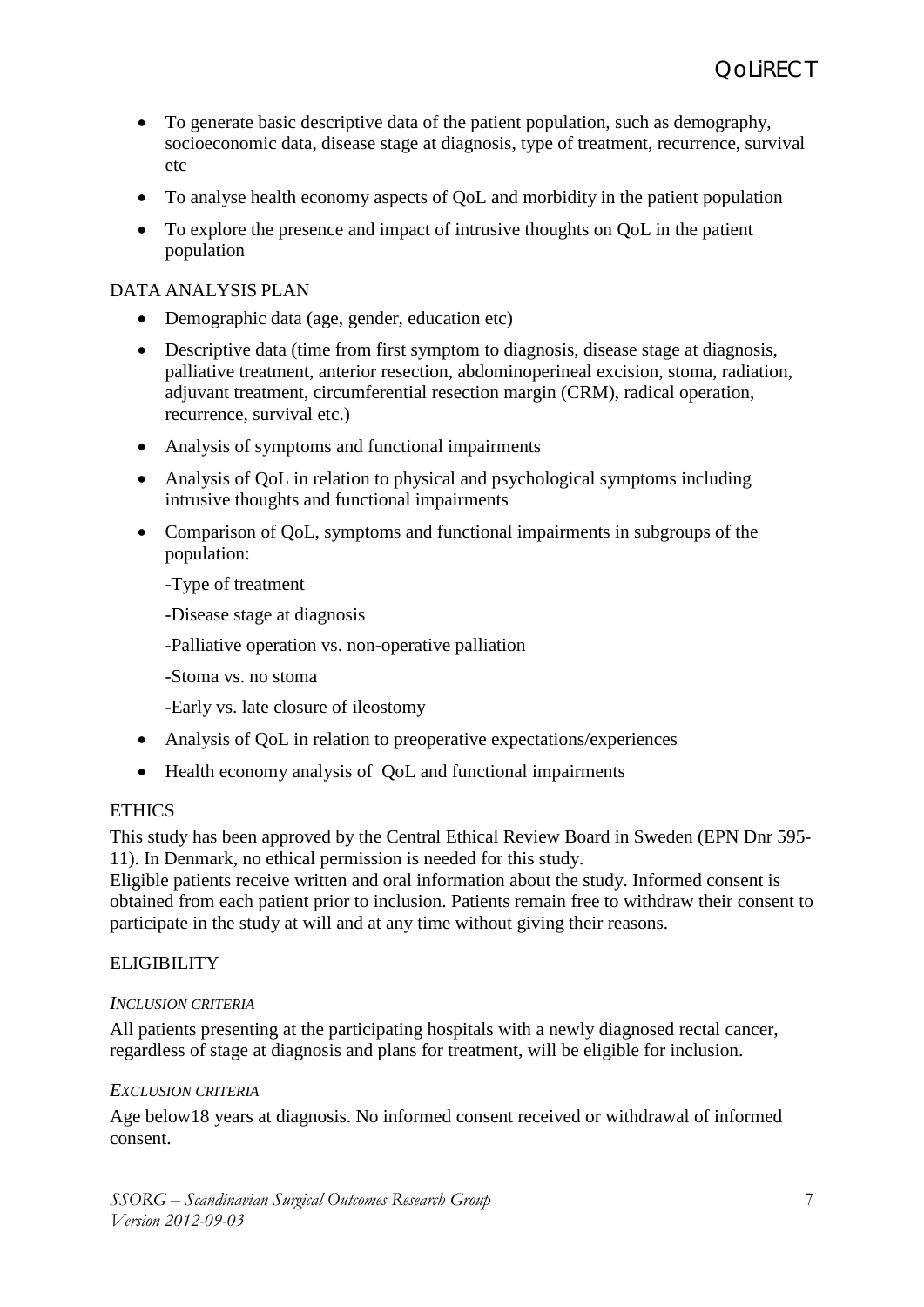- To generate basic descriptive data of the patient population, such as demography, socioeconomic data, disease stage at diagnosis, type of treatment, recurrence, survival etc
- To analyse health economy aspects of QoL and morbidity in the patient population
- To explore the presence and impact of intrusive thoughts on QoL in the patient population

## DATA ANALYSIS PLAN

- Demographic data (age, gender, education etc)
- Descriptive data (time from first symptom to diagnosis, disease stage at diagnosis, palliative treatment, anterior resection, abdominoperineal excision, stoma, radiation, adjuvant treatment, circumferential resection margin (CRM), radical operation, recurrence, survival etc.)
- Analysis of symptoms and functional impairments
- Analysis of QoL in relation to physical and psychological symptoms including intrusive thoughts and functional impairments
- Comparison of QoL, symptoms and functional impairments in subgroups of the population:
	- -Type of treatment
	- -Disease stage at diagnosis
	- -Palliative operation vs. non-operative palliation
	- -Stoma vs. no stoma
	- -Early vs. late closure of ileostomy
- Analysis of OoL in relation to preoperative expectations/experiences
- Health economy analysis of QoL and functional impairments

## **ETHICS**

This study has been approved by the Central Ethical Review Board in Sweden (EPN Dnr 595- 11). In Denmark, no ethical permission is needed for this study.

Eligible patients receive written and oral information about the study. Informed consent is obtained from each patient prior to inclusion. Patients remain free to withdraw their consent to participate in the study at will and at any time without giving their reasons.

# ELIGIBILITY

## *INCLUSION CRITERIA*

All patients presenting at the participating hospitals with a newly diagnosed rectal cancer, regardless of stage at diagnosis and plans for treatment, will be eligible for inclusion.

## *EXCLUSION CRITERIA*

Age below18 years at diagnosis. No informed consent received or withdrawal of informed consent.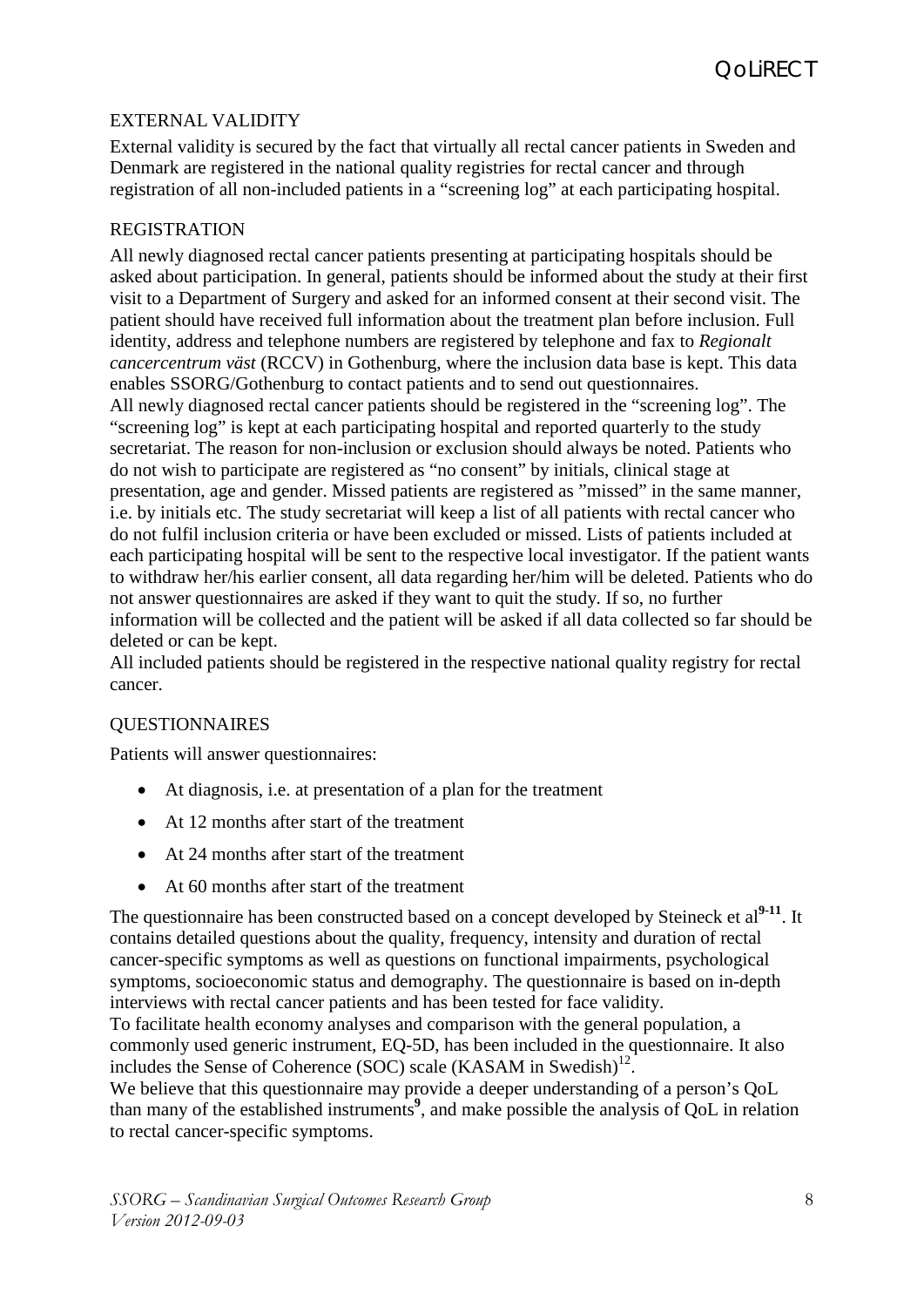# EXTERNAL VALIDITY

External validity is secured by the fact that virtually all rectal cancer patients in Sweden and Denmark are registered in the national quality registries for rectal cancer and through registration of all non-included patients in a "screening log" at each participating hospital.

## REGISTRATION

All newly diagnosed rectal cancer patients presenting at participating hospitals should be asked about participation. In general, patients should be informed about the study at their first visit to a Department of Surgery and asked for an informed consent at their second visit. The patient should have received full information about the treatment plan before inclusion. Full identity, address and telephone numbers are registered by telephone and fax to *Regionalt cancercentrum väst* (RCCV) in Gothenburg, where the inclusion data base is kept. This data enables SSORG/Gothenburg to contact patients and to send out questionnaires. All newly diagnosed rectal cancer patients should be registered in the "screening log". The "screening log" is kept at each participating hospital and reported quarterly to the study secretariat. The reason for non-inclusion or exclusion should always be noted. Patients who do not wish to participate are registered as "no consent" by initials, clinical stage at presentation, age and gender. Missed patients are registered as "missed" in the same manner, i.e. by initials etc. The study secretariat will keep a list of all patients with rectal cancer who do not fulfil inclusion criteria or have been excluded or missed. Lists of patients included at each participating hospital will be sent to the respective local investigator. If the patient wants to withdraw her/his earlier consent, all data regarding her/him will be deleted. Patients who do not answer questionnaires are asked if they want to quit the study. If so, no further information will be collected and the patient will be asked if all data collected so far should be deleted or can be kept.

All included patients should be registered in the respective national quality registry for rectal cancer.

## QUESTIONNAIRES

Patients will answer questionnaires:

- At diagnosis, i.e. at presentation of a plan for the treatment
- At 12 months after start of the treatment
- At 24 months after start of the treatment
- At 60 months after start of the treatment

The questionnaire has been constructed based on a concept developed by Steineck et al<sup>[9-11](#page-9-2)</sup>. It contains detailed questions about the quality, frequency, intensity and duration of rectal cancer-specific symptoms as well as questions on functional impairments, psychological symptoms, socioeconomic status and demography. The questionnaire is based on in-depth interviews with rectal cancer patients and has been tested for face validity. To facilitate health economy analyses and comparison with the general population, a

commonly used generic instrument, EQ-5D, has been included in the questionnaire. It also includes the Sense of Coherence (SOC) scale (KASAM in Swedish) [12.](#page-9-3)

We believe that this questionnaire may provide a deeper understanding of a person's QoL than many of the established instruments**[9](#page-9-2)** , and make possible the analysis of QoL in relation to rectal cancer-specific symptoms.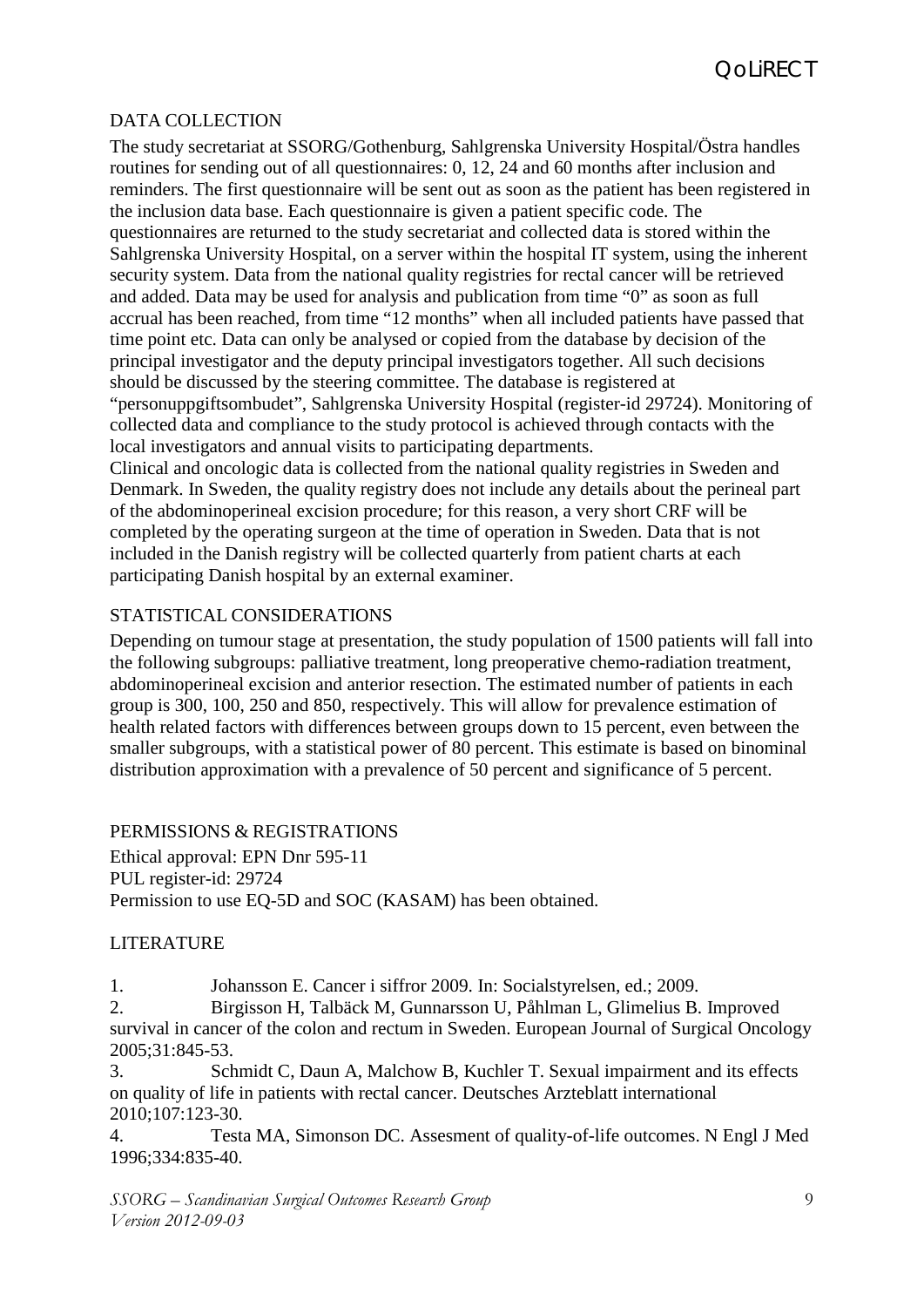## DATA COLLECTION

The study secretariat at SSORG/Gothenburg, Sahlgrenska University Hospital/Östra handles routines for sending out of all questionnaires: 0, 12, 24 and 60 months after inclusion and reminders. The first questionnaire will be sent out as soon as the patient has been registered in the inclusion data base. Each questionnaire is given a patient specific code. The questionnaires are returned to the study secretariat and collected data is stored within the Sahlgrenska University Hospital, on a server within the hospital IT system, using the inherent security system. Data from the national quality registries for rectal cancer will be retrieved and added. Data may be used for analysis and publication from time "0" as soon as full accrual has been reached, from time "12 months" when all included patients have passed that time point etc. Data can only be analysed or copied from the database by decision of the principal investigator and the deputy principal investigators together. All such decisions should be discussed by the steering committee. The database is registered at "personuppgiftsombudet", Sahlgrenska University Hospital (register-id 29724). Monitoring of collected data and compliance to the study protocol is achieved through contacts with the local investigators and annual visits to participating departments.

Clinical and oncologic data is collected from the national quality registries in Sweden and Denmark. In Sweden, the quality registry does not include any details about the perineal part of the abdominoperineal excision procedure; for this reason, a very short CRF will be completed by the operating surgeon at the time of operation in Sweden. Data that is not included in the Danish registry will be collected quarterly from patient charts at each participating Danish hospital by an external examiner.

## STATISTICAL CONSIDERATIONS

Depending on tumour stage at presentation, the study population of 1500 patients will fall into the following subgroups: palliative treatment, long preoperative chemo-radiation treatment, abdominoperineal excision and anterior resection. The estimated number of patients in each group is 300, 100, 250 and 850, respectively. This will allow for prevalence estimation of health related factors with differences between groups down to 15 percent, even between the smaller subgroups, with a statistical power of 80 percent. This estimate is based on binominal distribution approximation with a prevalence of 50 percent and significance of 5 percent.

# PERMISSIONS & REGISTRATIONS

Ethical approval: EPN Dnr 595-11 PUL register-id: 29724 Permission to use EQ-5D and SOC (KASAM) has been obtained.

## LITERATURE

<span id="page-8-0"></span>1. Johansson E. Cancer i siffror 2009. In: Socialstyrelsen, ed.; 2009.

<span id="page-8-1"></span>2. Birgisson H, Talbäck M, Gunnarsson U, Påhlman L, Glimelius B. Improved survival in cancer of the colon and rectum in Sweden. European Journal of Surgical Oncology 2005;31:845-53.

<span id="page-8-2"></span>3. Schmidt C, Daun A, Malchow B, Kuchler T. Sexual impairment and its effects on quality of life in patients with rectal cancer. Deutsches Arzteblatt international 2010;107:123-30.

<span id="page-8-3"></span>4. Testa MA, Simonson DC. Assesment of quality-of-life outcomes. N Engl J Med 1996;334:835-40.

*SSORG – Scandinavian Surgical Outcomes Research Group Version 2012-09-03*